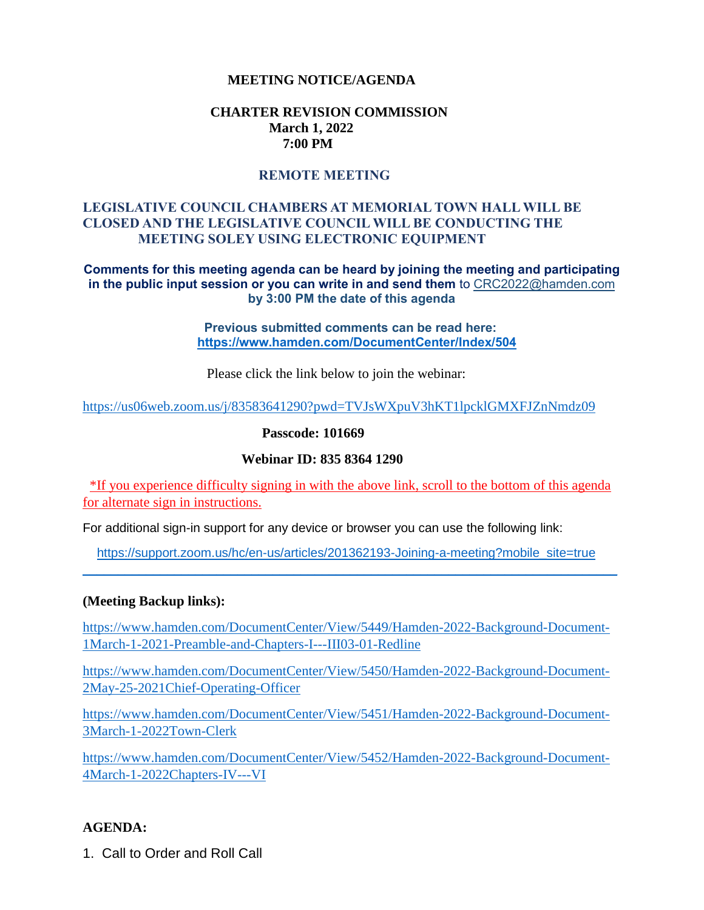## **MEETING NOTICE/AGENDA**

## **CHARTER REVISION COMMISSION March 1, 2022 7:00 PM**

# **REMOTE MEETING**

# **LEGISLATIVE COUNCIL CHAMBERS AT MEMORIAL TOWN HALL WILL BE CLOSED AND THE LEGISLATIVE COUNCIL WILL BE CONDUCTING THE MEETING SOLEY USING ELECTRONIC EQUIPMENT**

#### **Comments for this meeting agenda can be heard by joining the meeting and participating in the public input session or you can write in and send them** to CRC2022@hamden.com **by 3:00 PM the date of this agenda**

 **Previous submitted comments can be read here: <https://www.hamden.com/DocumentCenter/Index/504>**

Please click the link below to join the webinar:

<https://us06web.zoom.us/j/83583641290?pwd=TVJsWXpuV3hKT1lpcklGMXFJZnNmdz09>

**Passcode: 101669**

## **Webinar ID: 835 8364 1290**

\*If you experience difficulty signing in with the above link, scroll to the bottom of this agenda for alternate sign in instructions.

For additional sign-in support for any device or browser you can use the following link:

 [https://support.zoom.us/hc/en-us/articles/201362193-Joining-a-meeting?mobile\\_site=true](https://support.zoom.us/hc/en-us/articles/201362193-Joining-a-meeting?mobile_site=true)  $\_$  , and the set of the set of the set of the set of the set of the set of the set of the set of the set of the set of the set of the set of the set of the set of the set of the set of the set of the set of the set of th

#### **(Meeting Backup links):**

[https://www.hamden.com/DocumentCenter/View/5449/Hamden-2022-Background-Document-](https://www.hamden.com/DocumentCenter/View/5449/Hamden-2022-Background-Document-1March-1-2021-Preamble-and-Chapters-I---III03-01-Redline)[1March-1-2021-Preamble-and-Chapters-I---III03-01-Redline](https://www.hamden.com/DocumentCenter/View/5449/Hamden-2022-Background-Document-1March-1-2021-Preamble-and-Chapters-I---III03-01-Redline)

[https://www.hamden.com/DocumentCenter/View/5450/Hamden-2022-Background-Document-](https://www.hamden.com/DocumentCenter/View/5450/Hamden-2022-Background-Document-2May-25-2021Chief-Operating-Officer)[2May-25-2021Chief-Operating-Officer](https://www.hamden.com/DocumentCenter/View/5450/Hamden-2022-Background-Document-2May-25-2021Chief-Operating-Officer)

[https://www.hamden.com/DocumentCenter/View/5451/Hamden-2022-Background-Document-](https://www.hamden.com/DocumentCenter/View/5451/Hamden-2022-Background-Document-3March-1-2022Town-Clerk)[3March-1-2022Town-Clerk](https://www.hamden.com/DocumentCenter/View/5451/Hamden-2022-Background-Document-3March-1-2022Town-Clerk)

[https://www.hamden.com/DocumentCenter/View/5452/Hamden-2022-Background-Document-](https://www.hamden.com/DocumentCenter/View/5452/Hamden-2022-Background-Document-4March-1-2022Chapters-IV---VI)[4March-1-2022Chapters-IV---VI](https://www.hamden.com/DocumentCenter/View/5452/Hamden-2022-Background-Document-4March-1-2022Chapters-IV---VI)

#### **AGENDA:**

1. Call to Order and Roll Call